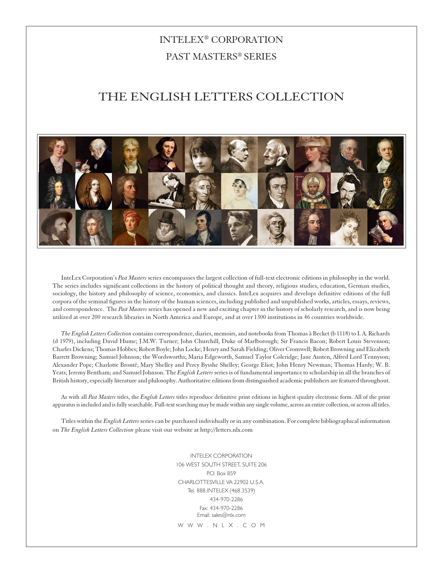## INTELEX® CORPORATION PAST MASTERS® SERIES

## THE ENGLISH LETTERS COLLECTION



InteLex Corporation's *Past Masters* series encompasses the largest collection of full-text electronic editions in philosophy in the world. The series includes significant collections in the history of political thought and theory, religious studies, education, German studies, sociology, the history and philosophy of science, economics, and classics. InteLex acquires and develops definitive editions of the full corpora of the seminal figures in the history of the human sciences, including published and unpublished works, articles, essays, reviews, and correspondence. The *Past Masters* series has opened a new and exciting chapter in the history of scholarly research, and is now being utilized at over 200 research libraries in North America and Europe, and at over 1300 institutions in 46 countries worldwide.

*The English Letters Collection* contains correspondence, diaries, memoirs, and notebooks from Thomas à Becket (b 1118) to I. A. Richards (d 1979), including David Hume; J.M.W. Turner; John Churchill, Duke of Marlborough; Sir Francis Bacon; Robert Louis Stevenson; Charles Dickens; Thomas Hobbes; Robert Boyle; John Locke; Henry and Sarah Fielding; Oliver Cromwell; Robert Browning and Elizabeth Barrett Browning; Samuel Johnson; the Wordsworths; Maria Edgeworth, Samuel Taylor Coleridge; Jane Austen, Alfred Lord Tennyson; Alexander Pope; Charlotte Brontë; Mary Shelley and Percy Bysshe Shelley; George Eliot; John Henry Newman; Thomas Hardy; W. B. Yeats; Jeremy Bentham; and Samuel Johnson. The *English Letters* series is of fundamental importance to scholarship in all the branches of British history, especially literature and philosophy. Authoritative editions from distinguished academic publishers are featured throughout.

As with all *Past Masters* titles, the *English Letters* titles reproduce definitive print editions in highest quality electronic form. All of the print apparatus is included and is fully searchable. Full-text searching may be made within any single volume, across an entire collection, or across all titles.

Titles within the *English Letters* series can be purchased individually or in any combination. For complete bibliographical information on *The English Letters Collection* please visit our website at http://letters.nlx.com

> INTELEX CORPORATION 106 WEST SOUTH STREET, SUITE 206 P.O. Box 859 CHARLOTTESVILLE VA 22902 U.S.A. Tel. 888.INTELEX (468.3539) 434-970-2286 Fax: 434-970-2286 Email: sales@nlx.com

W W W . N L X . C O M